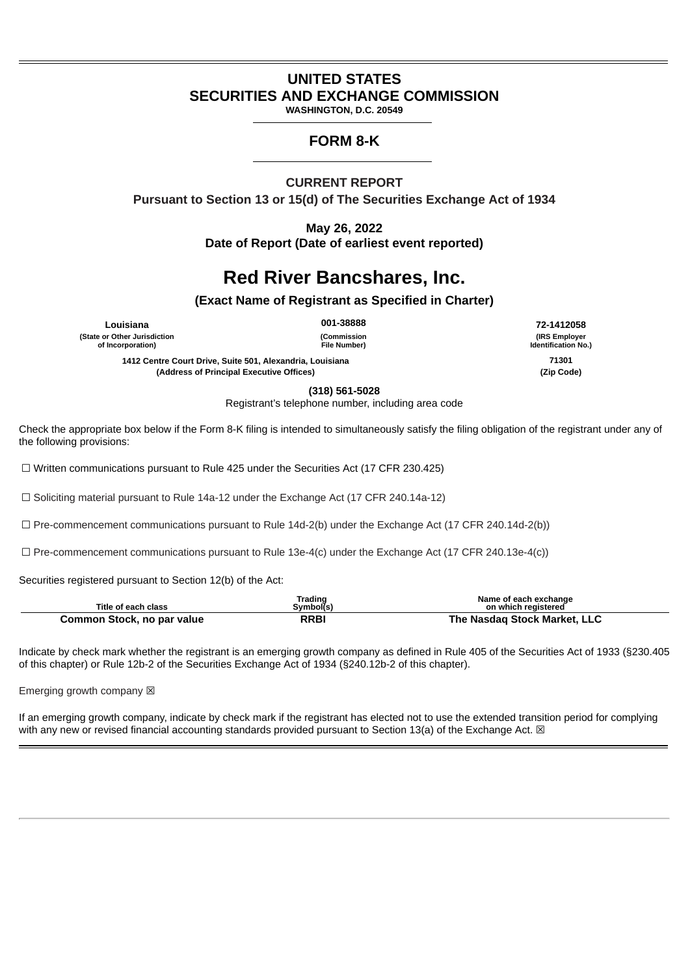## **UNITED STATES SECURITIES AND EXCHANGE COMMISSION**

**WASHINGTON, D.C. 20549**

## **FORM 8-K**

**CURRENT REPORT Pursuant to Section 13 or 15(d) of The Securities Exchange Act of 1934**

> **May 26, 2022 Date of Report (Date of earliest event reported)**

# **Red River Bancshares, Inc.**

**(Exact Name of Registrant as Specified in Charter)**

**(State or Other Jurisdiction of Incorporation)**

**(Commission File Number)**

**1412 Centre Court Drive, Suite 501, Alexandria, Louisiana 71301 (Address of Principal Executive Offices) (Zip Code)**

**Louisiana 001-38888 72-1412058 (IRS Employer Identification No.)**

**(318) 561-5028**

Registrant's telephone number, including area code

Check the appropriate box below if the Form 8-K filing is intended to simultaneously satisfy the filing obligation of the registrant under any of the following provisions:

 $\Box$  Written communications pursuant to Rule 425 under the Securities Act (17 CFR 230.425)

☐ Soliciting material pursuant to Rule 14a-12 under the Exchange Act (17 CFR 240.14a-12)

 $\Box$  Pre-commencement communications pursuant to Rule 14d-2(b) under the Exchange Act (17 CFR 240.14d-2(b))

 $\Box$  Pre-commencement communications pursuant to Rule 13e-4(c) under the Exchange Act (17 CFR 240.13e-4(c))

Securities registered pursuant to Section 12(b) of the Act:

| Title of each class        | Trading<br>Svmbol(s) | Name of each exchange<br>on which registered |
|----------------------------|----------------------|----------------------------------------------|
| Common Stock, no par value | RRBI                 | The Nasdag Stock Market, LLC                 |

Indicate by check mark whether the registrant is an emerging growth company as defined in Rule 405 of the Securities Act of 1933 (§230.405 of this chapter) or Rule 12b-2 of the Securities Exchange Act of 1934 (§240.12b-2 of this chapter).

Emerging growth company  $\boxtimes$ 

If an emerging growth company, indicate by check mark if the registrant has elected not to use the extended transition period for complying with any new or revised financial accounting standards provided pursuant to Section 13(a) of the Exchange Act.  $\boxtimes$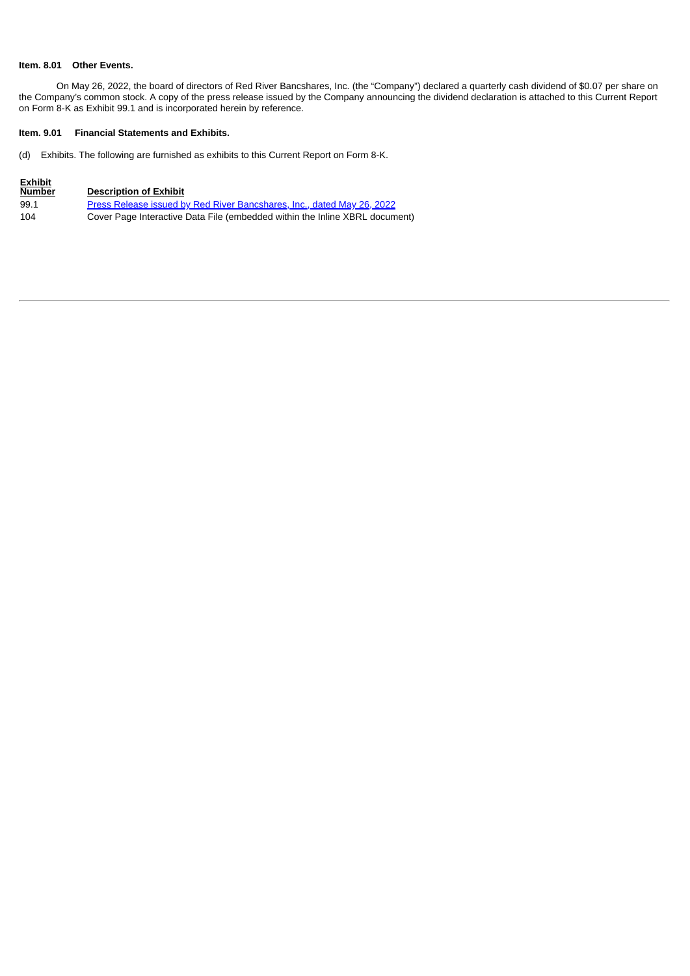#### **Item. 8.01 Other Events.**

On May 26, 2022, the board of directors of Red River Bancshares, Inc. (the "Company") declared a quarterly cash dividend of \$0.07 per share on the Company's common stock. A copy of the press release issued by the Company announcing the dividend declaration is attached to this Current Report on Form 8-K as Exhibit 99.1 and is incorporated herein by reference.

#### **Item. 9.01 Financial Statements and Exhibits.**

(d) Exhibits. The following are furnished as exhibits to this Current Report on Form 8-K.

| <b>Exhibit</b><br><b>Number</b> | <b>Description of Exhibit</b>                                               |
|---------------------------------|-----------------------------------------------------------------------------|
| 99.1                            | Press Release issued by Red River Bancshares, Inc., dated May 26, 2022      |
| 104                             | Cover Page Interactive Data File (embedded within the Inline XBRL document) |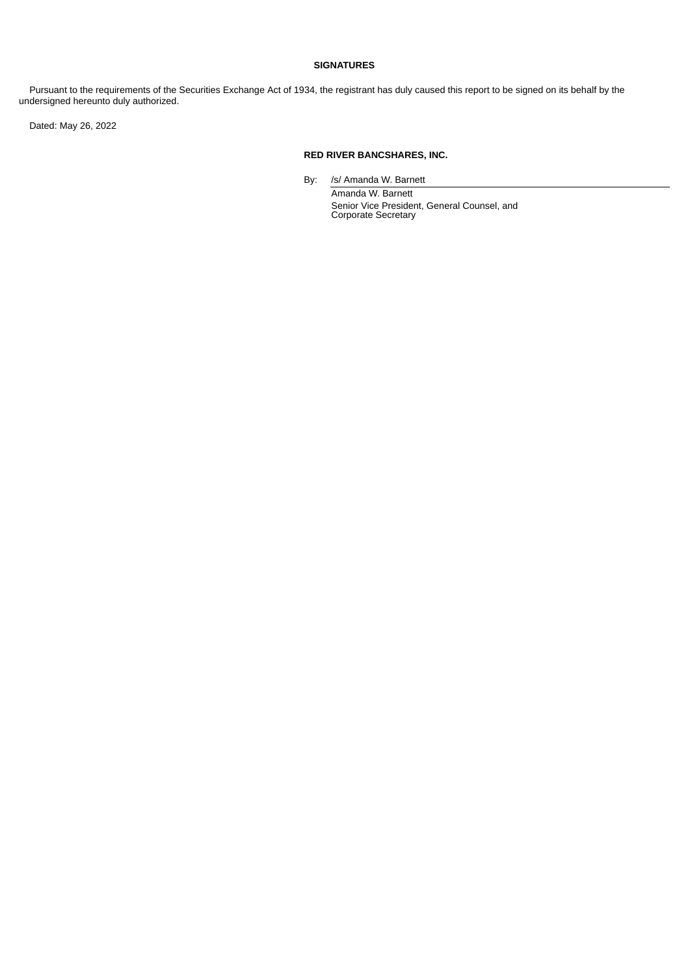#### **SIGNATURES**

 Pursuant to the requirements of the Securities Exchange Act of 1934, the registrant has duly caused this report to be signed on its behalf by the undersigned hereunto duly authorized.

Dated: May 26, 2022

#### **RED RIVER BANCSHARES, INC.**

By: /s/ Amanda W. Barnett

Amanda W. Barnett Senior Vice President, General Counsel, and Corporate Secretary